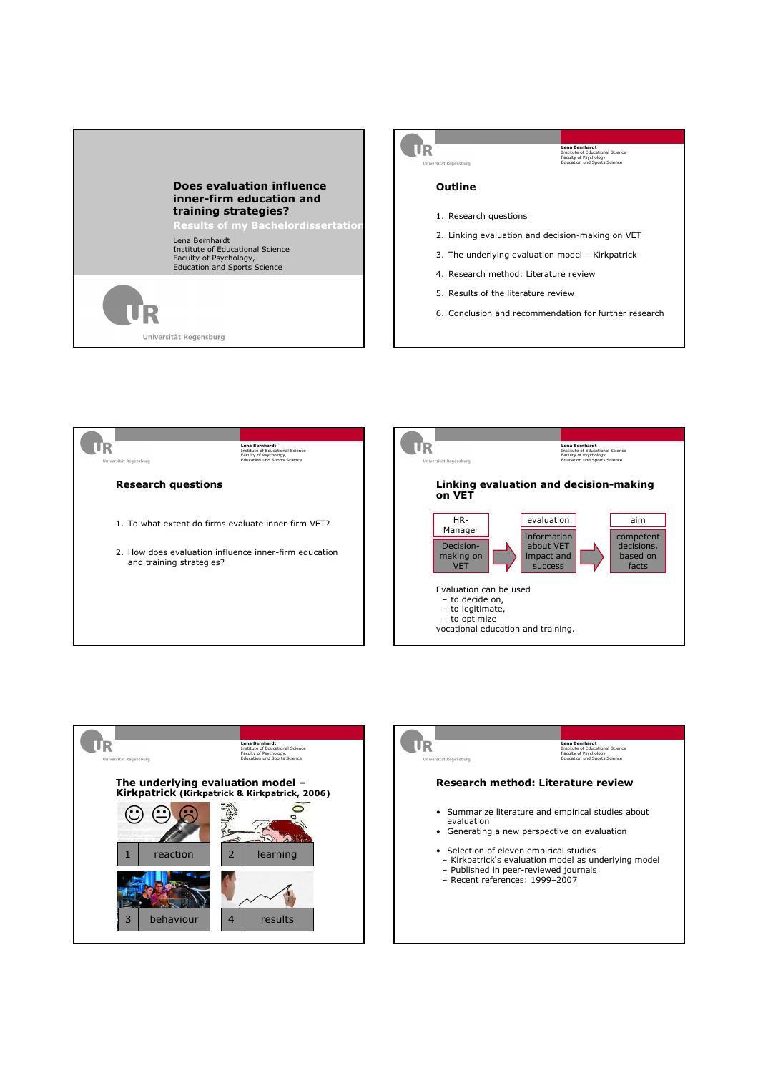